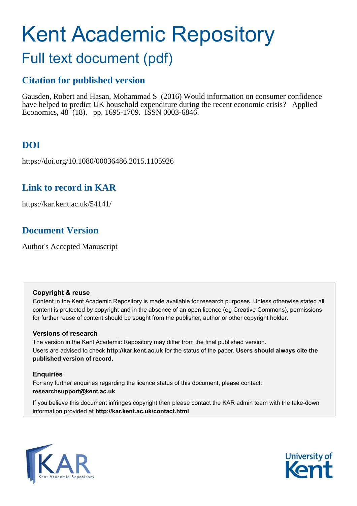# Kent Academic Repository

# Full text document (pdf)

### **Citation for published version**

Gausden, Robert and Hasan, Mohammad S (2016) Would information on consumer confidence have helped to predict UK household expenditure during the recent economic crisis? Applied Economics, 48 (18). pp. 1695-1709. ISSN 0003-6846.

# **DOI**

https://doi.org/10.1080/00036486.2015.1105926

### **Link to record in KAR**

https://kar.kent.ac.uk/54141/

# **Document Version**

Author's Accepted Manuscript

#### **Copyright & reuse**

Content in the Kent Academic Repository is made available for research purposes. Unless otherwise stated all content is protected by copyright and in the absence of an open licence (eg Creative Commons), permissions for further reuse of content should be sought from the publisher, author or other copyright holder.

#### **Versions of research**

The version in the Kent Academic Repository may differ from the final published version. Users are advised to check **http://kar.kent.ac.uk** for the status of the paper. **Users should always cite the published version of record.**

#### **Enquiries**

For any further enquiries regarding the licence status of this document, please contact: **researchsupport@kent.ac.uk**

If you believe this document infringes copyright then please contact the KAR admin team with the take-down information provided at **http://kar.kent.ac.uk/contact.html**



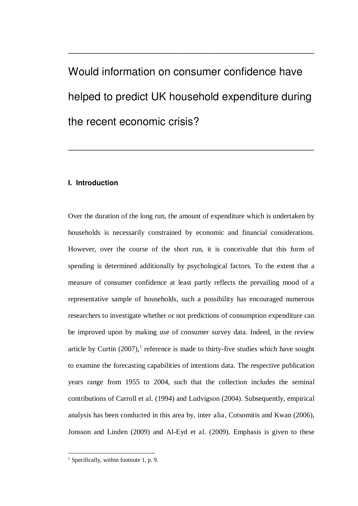# Would information on consumer confidence have helped to predict UK household expenditure during the recent economic crisis?

\_\_\_\_\_\_\_\_\_\_\_\_\_\_\_\_\_\_\_\_\_\_\_\_\_\_\_\_\_\_\_\_\_\_\_\_\_\_\_\_\_\_\_\_\_\_

\_\_\_\_\_\_\_\_\_\_\_\_\_\_\_\_\_\_\_\_\_\_\_\_\_\_\_\_\_\_\_\_\_\_\_\_\_\_\_\_\_\_\_\_\_\_

#### **I. Introduction**

Over the duration of the long run, the amount of expenditure which is undertaken by households is necessarily constrained by economic and financial considerations. However, over the course of the short run, it is conceivable that this form of spending is determined additionally by psychological factors. To the extent that a measure of consumer confidence at least partly reflects the prevailing mood of a representative sample of households, such a possibility has encouraged numerous researchers to investigate whether or not predictions of consumption expenditure can be improved upon by making use of consumer survey data. Indeed, in the review article by Curtin  $(2007)$ ,<sup>1</sup> reference is made to thirty-five studies which have sought to examine the forecasting capabilities of intentions data. The respective publication years range from 1955 to 2004, such that the collection includes the seminal contributions of Carroll et al. (1994) and Ludvigson (2004). Subsequently, empirical analysis has been conducted in this area by, inter alia, Cotsomitis and Kwan (2006), Jonsson and Linden (2009) and Al-Eyd et al. (2009). Emphasis is given to these

<sup>&</sup>lt;sup>1</sup> Specifically, within footnote 1, p. 9.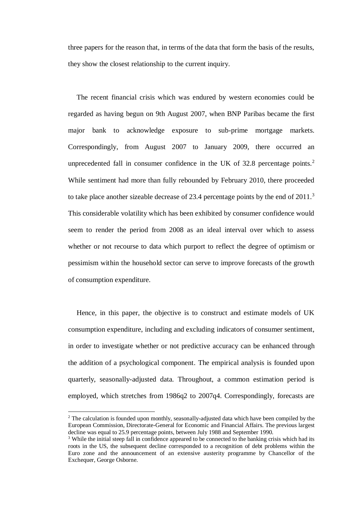three papers for the reason that, in terms of the data that form the basis of the results, they show the closest relationship to the current inquiry.

The recent financial crisis which was endured by western economies could be regarded as having begun on 9th August 2007, when BNP Paribas became the first major bank to acknowledge exposure to sub-prime mortgage markets. Correspondingly, from August 2007 to January 2009, there occurred an unprecedented fall in consumer confidence in the UK of 32.8 percentage points.<sup>2</sup> While sentiment had more than fully rebounded by February 2010, there proceeded to take place another sizeable decrease of 23.4 percentage points by the end of  $2011$ .<sup>3</sup> This considerable volatility which has been exhibited by consumer confidence would seem to render the period from 2008 as an ideal interval over which to assess whether or not recourse to data which purport to reflect the degree of optimism or pessimism within the household sector can serve to improve forecasts of the growth of consumption expenditure.

Hence, in this paper, the objective is to construct and estimate models of UK consumption expenditure, including and excluding indicators of consumer sentiment, in order to investigate whether or not predictive accuracy can be enhanced through the addition of a psychological component. The empirical analysis is founded upon quarterly, seasonally-adjusted data. Throughout, a common estimation period is employed, which stretches from 1986q2 to 2007q4. Correspondingly, forecasts are

l,

 $2$  The calculation is founded upon monthly, seasonally-adjusted data which have been compiled by the European Commission, Directorate-General for Economic and Financial Affairs. The previous largest decline was equal to 25.9 percentage points, between July 1988 and September 1990.

<sup>&</sup>lt;sup>3</sup> While the initial steep fall in confidence appeared to be connected to the banking crisis which had its roots in the US, the subsequent decline corresponded to a recognition of debt problems within the Euro zone and the announcement of an extensive austerity programme by Chancellor of the Exchequer, George Osborne.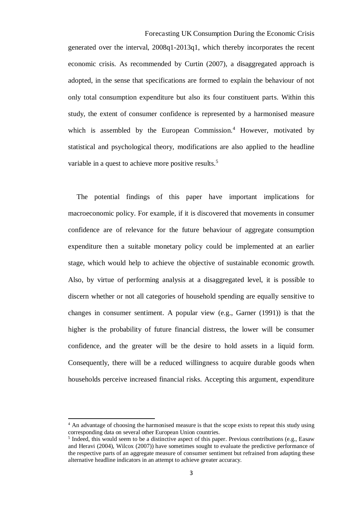Forecasting UK Consumption During the Economic Crisis generated over the interval, 2008q1-2013q1, which thereby incorporates the recent economic crisis. As recommended by Curtin (2007), a disaggregated approach is adopted, in the sense that specifications are formed to explain the behaviour of not only total consumption expenditure but also its four constituent parts. Within this study, the extent of consumer confidence is represented by a harmonised measure which is assembled by the European Commission.<sup>4</sup> However, motivated by statistical and psychological theory, modifications are also applied to the headline variable in a quest to achieve more positive results.<sup>5</sup>

The potential findings of this paper have important implications for macroeconomic policy. For example, if it is discovered that movements in consumer confidence are of relevance for the future behaviour of aggregate consumption expenditure then a suitable monetary policy could be implemented at an earlier stage, which would help to achieve the objective of sustainable economic growth. Also, by virtue of performing analysis at a disaggregated level, it is possible to discern whether or not all categories of household spending are equally sensitive to changes in consumer sentiment. A popular view (e.g., Garner (1991)) is that the higher is the probability of future financial distress, the lower will be consumer confidence, and the greater will be the desire to hold assets in a liquid form. Consequently, there will be a reduced willingness to acquire durable goods when households perceive increased financial risks. Accepting this argument, expenditure

<sup>&</sup>lt;sup>4</sup> An advantage of choosing the harmonised measure is that the scope exists to repeat this study using corresponding data on several other European Union countries.

<sup>&</sup>lt;sup>5</sup> Indeed, this would seem to be a distinctive aspect of this paper. Previous contributions (e.g., Easaw and Heravi (2004), Wilcox (2007)) have sometimes sought to evaluate the predictive performance of the respective parts of an aggregate measure of consumer sentiment but refrained from adapting these alternative headline indicators in an attempt to achieve greater accuracy.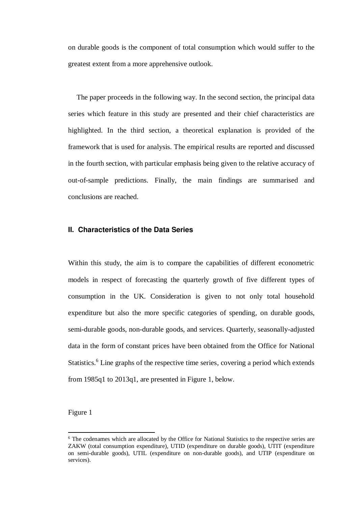on durable goods is the component of total consumption which would suffer to the greatest extent from a more apprehensive outlook.

The paper proceeds in the following way. In the second section, the principal data series which feature in this study are presented and their chief characteristics are highlighted. In the third section, a theoretical explanation is provided of the framework that is used for analysis. The empirical results are reported and discussed in the fourth section, with particular emphasis being given to the relative accuracy of out-of-sample predictions. Finally, the main findings are summarised and conclusions are reached.

#### **II. Characteristics of the Data Series**

Within this study, the aim is to compare the capabilities of different econometric models in respect of forecasting the quarterly growth of five different types of consumption in the UK. Consideration is given to not only total household expenditure but also the more specific categories of spending, on durable goods, semi-durable goods, non-durable goods, and services. Quarterly, seasonally-adjusted data in the form of constant prices have been obtained from the Office for National Statistics.<sup>6</sup> Line graphs of the respective time series, covering a period which extends from 1985q1 to 2013q1, are presented in Figure 1, below.

#### Figure 1

<sup>&</sup>lt;sup>6</sup> The codenames which are allocated by the Office for National Statistics to the respective series are ZAKW (total consumption expenditure), UTID (expenditure on durable goods), UTIT (expenditure on semi-durable goods), UTIL (expenditure on non-durable goods), and UTIP (expenditure on services).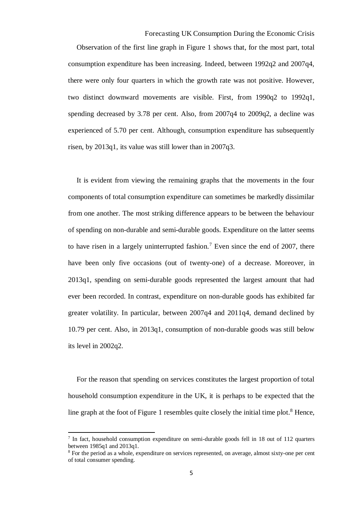Forecasting UK Consumption During the Economic Crisis

Observation of the first line graph in Figure 1 shows that, for the most part, total consumption expenditure has been increasing. Indeed, between 1992q2 and 2007q4, there were only four quarters in which the growth rate was not positive. However, two distinct downward movements are visible. First, from 1990q2 to 1992q1, spending decreased by 3.78 per cent. Also, from 2007q4 to 2009q2, a decline was experienced of 5.70 per cent. Although, consumption expenditure has subsequently risen, by 2013q1, its value was still lower than in 2007q3.

It is evident from viewing the remaining graphs that the movements in the four components of total consumption expenditure can sometimes be markedly dissimilar from one another. The most striking difference appears to be between the behaviour of spending on non-durable and semi-durable goods. Expenditure on the latter seems to have risen in a largely uninterrupted fashion.<sup>7</sup> Even since the end of 2007, there have been only five occasions (out of twenty-one) of a decrease. Moreover, in 2013q1, spending on semi-durable goods represented the largest amount that had ever been recorded. In contrast, expenditure on non-durable goods has exhibited far greater volatility. In particular, between 2007q4 and 2011q4, demand declined by 10.79 per cent. Also, in 2013q1, consumption of non-durable goods was still below its level in 2002q2.

For the reason that spending on services constitutes the largest proportion of total household consumption expenditure in the UK, it is perhaps to be expected that the line graph at the foot of Figure 1 resembles quite closely the initial time plot.<sup>8</sup> Hence,

<sup>&</sup>lt;sup>7</sup> In fact, household consumption expenditure on semi-durable goods fell in 18 out of 112 quarters between 1985q1 and 2013q1.

<sup>&</sup>lt;sup>8</sup> For the period as a whole, expenditure on services represented, on average, almost sixty-one per cent of total consumer spending.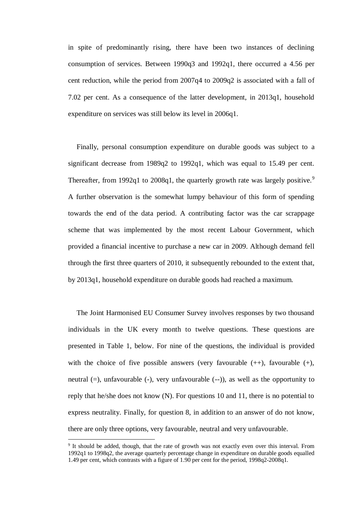in spite of predominantly rising, there have been two instances of declining consumption of services. Between 1990q3 and 1992q1, there occurred a 4.56 per cent reduction, while the period from 2007q4 to 2009q2 is associated with a fall of 7.02 per cent. As a consequence of the latter development, in 2013q1, household expenditure on services was still below its level in 2006q1.

Finally, personal consumption expenditure on durable goods was subject to a significant decrease from 1989q2 to 1992q1, which was equal to 15.49 per cent. Thereafter, from 1992q1 to 2008q1, the quarterly growth rate was largely positive.<sup>9</sup> A further observation is the somewhat lumpy behaviour of this form of spending towards the end of the data period. A contributing factor was the car scrappage scheme that was implemented by the most recent Labour Government, which provided a financial incentive to purchase a new car in 2009. Although demand fell through the first three quarters of 2010, it subsequently rebounded to the extent that, by 2013q1, household expenditure on durable goods had reached a maximum.

The Joint Harmonised EU Consumer Survey involves responses by two thousand individuals in the UK every month to twelve questions. These questions are presented in Table 1, below. For nine of the questions, the individual is provided with the choice of five possible answers (very favourable  $(++)$ , favourable  $(+)$ , neutral  $(=)$ , unfavourable  $(-)$ , very unfavourable  $(-)$ ), as well as the opportunity to reply that he/she does not know (N). For questions 10 and 11, there is no potential to express neutrality. Finally, for question 8, in addition to an answer of do not know, there are only three options, very favourable, neutral and very unfavourable.

l,

<sup>&</sup>lt;sup>9</sup> It should be added, though, that the rate of growth was not exactly even over this interval. From 1992q1 to 1998q2, the average quarterly percentage change in expenditure on durable goods equalled 1.49 per cent, which contrasts with a figure of 1.90 per cent for the period, 1998q2-2008q1.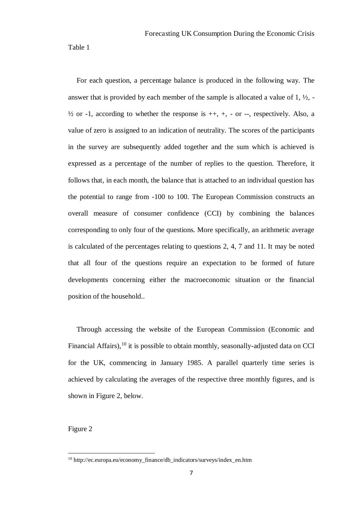Table 1

For each question, a percentage balance is produced in the following way. The answer that is provided by each member of the sample is allocated a value of  $1, \frac{1}{2}$ , - $\frac{1}{2}$  or -1, according to whether the response is  $++$ ,  $+$ ,  $-$  or  $-$ , respectively. Also, a value of zero is assigned to an indication of neutrality. The scores of the participants in the survey are subsequently added together and the sum which is achieved is expressed as a percentage of the number of replies to the question. Therefore, it follows that, in each month, the balance that is attached to an individual question has the potential to range from -100 to 100. The European Commission constructs an overall measure of consumer confidence (CCI) by combining the balances corresponding to only four of the questions. More specifically, an arithmetic average is calculated of the percentages relating to questions 2, 4, 7 and 11. It may be noted that all four of the questions require an expectation to be formed of future developments concerning either the macroeconomic situation or the financial position of the household..

Through accessing the website of the European Commission (Economic and Financial Affairs),  $10$  it is possible to obtain monthly, seasonally-adjusted data on CCI for the UK, commencing in January 1985. A parallel quarterly time series is achieved by calculating the averages of the respective three monthly figures, and is shown in Figure 2, below.

Figure 2

<sup>10</sup> http://ec.europa.eu/economy\_finance/db\_indicators/surveys/index\_en.htm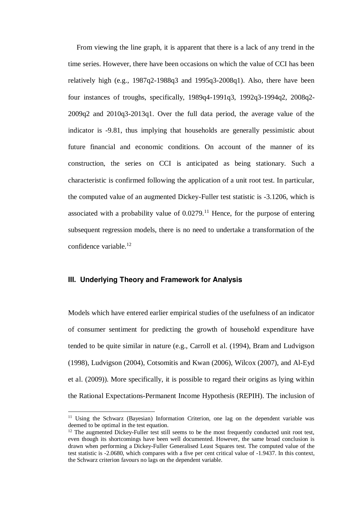From viewing the line graph, it is apparent that there is a lack of any trend in the time series. However, there have been occasions on which the value of CCI has been relatively high (e.g., 1987q2-1988q3 and 1995q3-2008q1). Also, there have been four instances of troughs, specifically, 1989q4-1991q3, 1992q3-1994q2, 2008q2- 2009q2 and 2010q3-2013q1. Over the full data period, the average value of the indicator is -9.81, thus implying that households are generally pessimistic about future financial and economic conditions. On account of the manner of its construction, the series on CCI is anticipated as being stationary. Such a characteristic is confirmed following the application of a unit root test. In particular, the computed value of an augmented Dickey-Fuller test statistic is -3.1206, which is associated with a probability value of  $0.0279$ .<sup>11</sup> Hence, for the purpose of entering subsequent regression models, there is no need to undertake a transformation of the confidence variable.<sup>12</sup>

#### **III. Underlying Theory and Framework for Analysis**

l,

Models which have entered earlier empirical studies of the usefulness of an indicator of consumer sentiment for predicting the growth of household expenditure have tended to be quite similar in nature (e.g., Carroll et al. (1994), Bram and Ludvigson (1998), Ludvigson (2004), Cotsomitis and Kwan (2006), Wilcox (2007), and Al-Eyd et al. (2009)). More specifically, it is possible to regard their origins as lying within the Rational Expectations-Permanent Income Hypothesis (REPIH). The inclusion of

<sup>&</sup>lt;sup>11</sup> Using the Schwarz (Bayesian) Information Criterion, one lag on the dependent variable was deemed to be optimal in the test equation.

 $12$  The augmented Dickey-Fuller test still seems to be the most frequently conducted unit root test, even though its shortcomings have been well documented. However, the same broad conclusion is drawn when performing a Dickey-Fuller Generalised Least Squares test. The computed value of the test statistic is -2.0680, which compares with a five per cent critical value of -1.9437. In this context, the Schwarz criterion favours no lags on the dependent variable.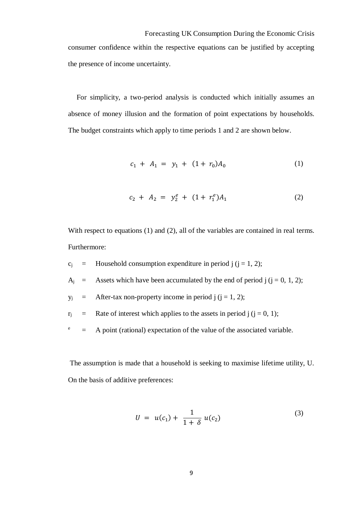Forecasting UK Consumption During the Economic Crisis consumer confidence within the respective equations can be justified by accepting the presence of income uncertainty.

For simplicity, a two-period analysis is conducted which initially assumes an absence of money illusion and the formation of point expectations by households. The budget constraints which apply to time periods 1 and 2 are shown below.

$$
c_1 + A_1 = y_1 + (1 + r_0)A_0 \tag{1}
$$

$$
c_2 + A_2 = y_2^e + (1 + r_1^e)A_1 \tag{2}
$$

With respect to equations (1) and (2), all of the variables are contained in real terms. Furthermore:

- $c_i$  = Household consumption expenditure in period j (j = 1, 2);
- $A_i$  = Assets which have been accumulated by the end of period  $j$  ( $j = 0, 1, 2$ );
- $y_i$  = After-tax non-property income in period j (j = 1, 2);
- $r_i$  = Rate of interest which applies to the assets in period j (j = 0, 1);
- $e$  = A point (rational) expectation of the value of the associated variable.

 The assumption is made that a household is seeking to maximise lifetime utility, U. On the basis of additive preferences:

$$
U = u(c_1) + \frac{1}{1+\delta} u(c_2)
$$
 (3)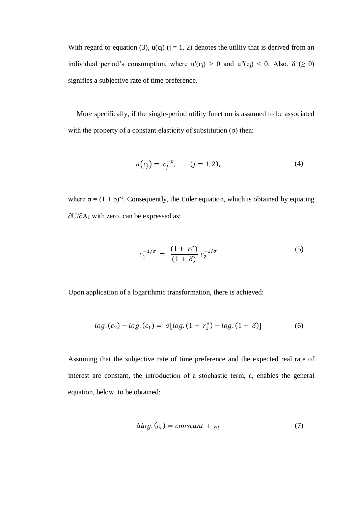With regard to equation (3),  $u(c_i)$  (j = 1, 2) denotes the utility that is derived from an individual period's consumption, where  $u'(c_i) > 0$  and  $u''(c_i) < 0$ . Also,  $\delta \ge 0$ ) signifies a subjective rate of time preference.

More specifically, if the single-period utility function is assumed to be associated with the property of a constant elasticity of substitution  $(\sigma)$  then:

$$
u(c_j) = c_j^{-\rho}, \qquad (j = 1, 2), \tag{4}
$$

where  $\sigma = (1 + \rho)^{-1}$ . Consequently, the Euler equation, which is obtained by equating ∂U/∂A1 with zero, can be expressed as:

$$
c_1^{-1/\sigma} = \frac{(1+r_1^e)}{(1+\delta)} c_2^{-1/\sigma} \tag{5}
$$

Upon application of a logarithmic transformation, there is achieved:

$$
log.(c_2) - log.(c_1) = \sigma [log.(1 + r_1^e) - log.(1 + \delta)] \tag{6}
$$

Assuming that the subjective rate of time preference and the expected real rate of interest are constant, the introduction of a stochastic term,  $\varepsilon$ , enables the general equation, below, to be obtained:

$$
\Delta log. (c_t) = constant + \varepsilon_t \tag{7}
$$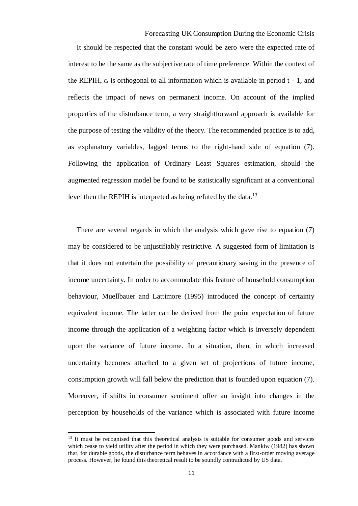Forecasting UK Consumption During the Economic Crisis

It should be respected that the constant would be zero were the expected rate of interest to be the same as the subjective rate of time preference. Within the context of the REPIH,  $\varepsilon_t$  is orthogonal to all information which is available in period t - 1, and reflects the impact of news on permanent income. On account of the implied properties of the disturbance term, a very straightforward approach is available for the purpose of testing the validity of the theory. The recommended practice is to add, as explanatory variables, lagged terms to the right-hand side of equation (7). Following the application of Ordinary Least Squares estimation, should the augmented regression model be found to be statistically significant at a conventional level then the REPIH is interpreted as being refuted by the data.<sup>13</sup>

There are several regards in which the analysis which gave rise to equation (7) may be considered to be unjustifiably restrictive. A suggested form of limitation is that it does not entertain the possibility of precautionary saving in the presence of income uncertainty. In order to accommodate this feature of household consumption behaviour, Muellbauer and Lattimore (1995) introduced the concept of certainty equivalent income. The latter can be derived from the point expectation of future income through the application of a weighting factor which is inversely dependent upon the variance of future income. In a situation, then, in which increased uncertainty becomes attached to a given set of projections of future income, consumption growth will fall below the prediction that is founded upon equation (7). Moreover, if shifts in consumer sentiment offer an insight into changes in the perception by households of the variance which is associated with future income

<sup>&</sup>lt;sup>13</sup> It must be recognised that this theoretical analysis is suitable for consumer goods and services which cease to yield utility after the period in which they were purchased. Mankiw (1982) has shown that, for durable goods, the disturbance term behaves in accordance with a first-order moving average process. However, he found this theoretical result to be soundly contradicted by US data.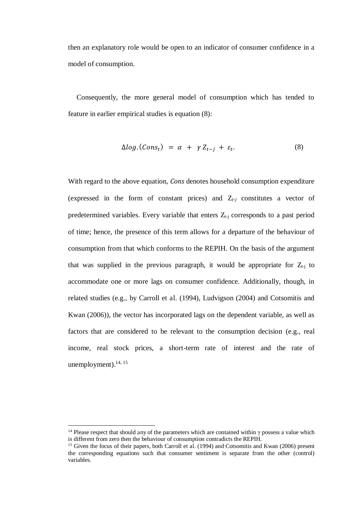then an explanatory role would be open to an indicator of consumer confidence in a model of consumption.

Consequently, the more general model of consumption which has tended to feature in earlier empirical studies is equation (8):

$$
\Delta log. (Cons_t) = \alpha + \gamma Z_{t-j} + \varepsilon_t. \tag{8}
$$

With regard to the above equation, *Cons* denotes household consumption expenditure (expressed in the form of constant prices) and  $Z_{t-j}$  constitutes a vector of predetermined variables. Every variable that enters  $Z_{t-1}$  corresponds to a past period of time; hence, the presence of this term allows for a departure of the behaviour of consumption from that which conforms to the REPIH. On the basis of the argument that was supplied in the previous paragraph, it would be appropriate for  $Z_{t-j}$  to accommodate one or more lags on consumer confidence. Additionally, though, in related studies (e.g., by Carroll et al. (1994), Ludvigson (2004) and Cotsomitis and Kwan (2006)), the vector has incorporated lags on the dependent variable, as well as factors that are considered to be relevant to the consumption decision (e.g., real income, real stock prices, a short-term rate of interest and the rate of unemployment). $^{14, 15}$ 

<sup>&</sup>lt;sup>14</sup> Please respect that should any of the parameters which are contained within  $\gamma$  possess a value which is different from zero then the behaviour of consumption contradicts the REPIH.

<sup>&</sup>lt;sup>15</sup> Given the focus of their papers, both Carroll et al. (1994) and Cotsomitis and Kwan (2006) present the corresponding equations such that consumer sentiment is separate from the other (control) variables.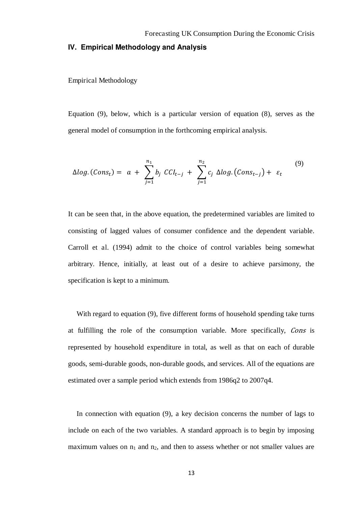#### **IV. Empirical Methodology and Analysis**

Empirical Methodology

Equation (9), below, which is a particular version of equation (8), serves as the general model of consumption in the forthcoming empirical analysis.

$$
\Delta log. (Cons_t) = a + \sum_{j=1}^{n_1} b_j CC_{t-j} + \sum_{j=1}^{n_2} c_j \Delta log. (Cons_{t-j}) + \varepsilon_t
$$
\n(9)

It can be seen that, in the above equation, the predetermined variables are limited to consisting of lagged values of consumer confidence and the dependent variable. Carroll et al. (1994) admit to the choice of control variables being somewhat arbitrary. Hence, initially, at least out of a desire to achieve parsimony, the specification is kept to a minimum.

With regard to equation (9), five different forms of household spending take turns at fulfilling the role of the consumption variable. More specifically, Cons is represented by household expenditure in total, as well as that on each of durable goods, semi-durable goods, non-durable goods, and services. All of the equations are estimated over a sample period which extends from 1986q2 to 2007q4.

In connection with equation (9), a key decision concerns the number of lags to include on each of the two variables. A standard approach is to begin by imposing maximum values on  $n_1$  and  $n_2$ , and then to assess whether or not smaller values are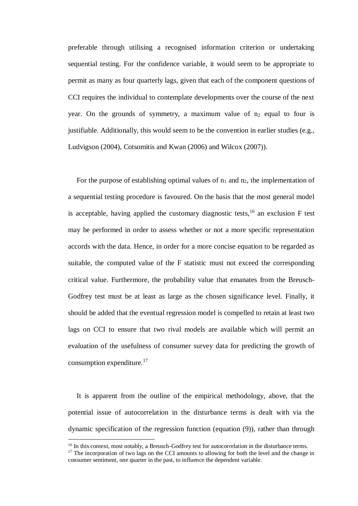preferable through utilising a recognised information criterion or undertaking sequential testing. For the confidence variable, it would seem to be appropriate to permit as many as four quarterly lags, given that each of the component questions of CCI requires the individual to contemplate developments over the course of the next year. On the grounds of symmetry, a maximum value of  $n_2$  equal to four is justifiable. Additionally, this would seem to be the convention in earlier studies (e.g., Ludvigson (2004), Cotsomitis and Kwan (2006) and Wilcox (2007)).

For the purpose of establishing optimal values of  $n_1$  and  $n_2$ , the implementation of a sequential testing procedure is favoured. On the basis that the most general model is acceptable, having applied the customary diagnostic tests,<sup>16</sup> an exclusion  $F$  test may be performed in order to assess whether or not a more specific representation accords with the data. Hence, in order for a more concise equation to be regarded as suitable, the computed value of the F statistic must not exceed the corresponding critical value. Furthermore, the probability value that emanates from the Breusch-Godfrey test must be at least as large as the chosen significance level. Finally, it should be added that the eventual regression model is compelled to retain at least two lags on CCI to ensure that two rival models are available which will permit an evaluation of the usefulness of consumer survey data for predicting the growth of consumption expenditure.<sup>17</sup>

It is apparent from the outline of the empirical methodology, above, that the potential issue of autocorrelation in the disturbance terms is dealt with via the dynamic specification of the regression function (equation (9)), rather than through

l,

<sup>&</sup>lt;sup>16</sup> In this context, most notably, a Breusch-Godfrey test for autocorrelation in the disturbance terms.

 $17$  The incorporation of two lags on the CCI amounts to allowing for both the level and the change in consumer sentiment, one quarter in the past, to influence the dependent variable.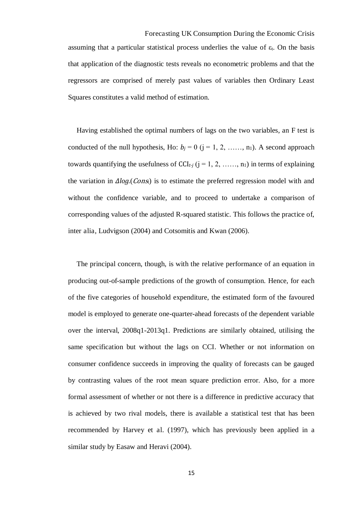Forecasting UK Consumption During the Economic Crisis assuming that a particular statistical process underlies the value of  $\varepsilon_t$ . On the basis that application of the diagnostic tests reveals no econometric problems and that the regressors are comprised of merely past values of variables then Ordinary Least Squares constitutes a valid method of estimation.

Having established the optimal numbers of lags on the two variables, an F test is conducted of the null hypothesis, Ho:  $b_j = 0$  ( $j = 1, 2, \ldots, n_1$ ). A second approach towards quantifying the usefulness of  $CCI_{t-i}$  ( $j = 1, 2, \ldots, n_1$ ) in terms of explaining the variation in  $\Delta log. (Cons)$  is to estimate the preferred regression model with and without the confidence variable, and to proceed to undertake a comparison of corresponding values of the adjusted R-squared statistic. This follows the practice of, inter alia, Ludvigson (2004) and Cotsomitis and Kwan (2006).

The principal concern, though, is with the relative performance of an equation in producing out-of-sample predictions of the growth of consumption. Hence, for each of the five categories of household expenditure, the estimated form of the favoured model is employed to generate one-quarter-ahead forecasts of the dependent variable over the interval, 2008q1-2013q1. Predictions are similarly obtained, utilising the same specification but without the lags on CCI. Whether or not information on consumer confidence succeeds in improving the quality of forecasts can be gauged by contrasting values of the root mean square prediction error. Also, for a more formal assessment of whether or not there is a difference in predictive accuracy that is achieved by two rival models, there is available a statistical test that has been recommended by Harvey et al. (1997), which has previously been applied in a similar study by Easaw and Heravi (2004).

15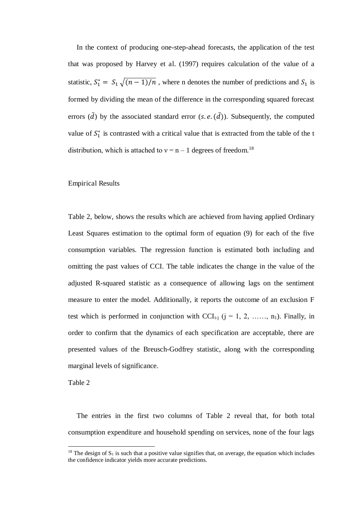In the context of producing one-step-ahead forecasts, the application of the test that was proposed by Harvey et al. (1997) requires calculation of the value of a statistic,  $S_1^* = S_1 \sqrt{(n-1)/n}$ , where n denotes the number of predictions and  $S_1$  is formed by dividing the mean of the difference in the corresponding squared forecast errors  $(\bar{d})$  by the associated standard error  $(s.e. (\bar{d}))$ . Subsequently, the computed value of  $S_1^*$  is contrasted with a critical value that is extracted from the table of the t distribution, which is attached to  $v = n - 1$  degrees of freedom.<sup>18</sup>

#### Empirical Results

Table 2, below, shows the results which are achieved from having applied Ordinary Least Squares estimation to the optimal form of equation (9) for each of the five consumption variables. The regression function is estimated both including and omitting the past values of CCI. The table indicates the change in the value of the adjusted R-squared statistic as a consequence of allowing lags on the sentiment measure to enter the model. Additionally, it reports the outcome of an exclusion F test which is performed in conjunction with  $CCI_{t-1}$  (j = 1, 2, …, n<sub>1</sub>). Finally, in order to confirm that the dynamics of each specification are acceptable, there are presented values of the Breusch-Godfrey statistic, along with the corresponding marginal levels of significance.

Table 2

 $\overline{a}$ 

The entries in the first two columns of Table 2 reveal that, for both total consumption expenditure and household spending on services, none of the four lags

<sup>&</sup>lt;sup>18</sup> The design of  $S_1$  is such that a positive value signifies that, on average, the equation which includes the confidence indicator yields more accurate predictions.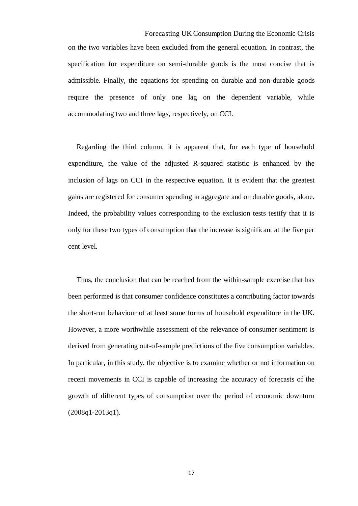Forecasting UK Consumption During the Economic Crisis on the two variables have been excluded from the general equation. In contrast, the specification for expenditure on semi-durable goods is the most concise that is admissible. Finally, the equations for spending on durable and non-durable goods require the presence of only one lag on the dependent variable, while accommodating two and three lags, respectively, on CCI.

Regarding the third column, it is apparent that, for each type of household expenditure, the value of the adjusted R-squared statistic is enhanced by the inclusion of lags on CCI in the respective equation. It is evident that the greatest gains are registered for consumer spending in aggregate and on durable goods, alone. Indeed, the probability values corresponding to the exclusion tests testify that it is only for these two types of consumption that the increase is significant at the five per cent level.

Thus, the conclusion that can be reached from the within-sample exercise that has been performed is that consumer confidence constitutes a contributing factor towards the short-run behaviour of at least some forms of household expenditure in the UK. However, a more worthwhile assessment of the relevance of consumer sentiment is derived from generating out-of-sample predictions of the five consumption variables. In particular, in this study, the objective is to examine whether or not information on recent movements in CCI is capable of increasing the accuracy of forecasts of the growth of different types of consumption over the period of economic downturn (2008q1-2013q1).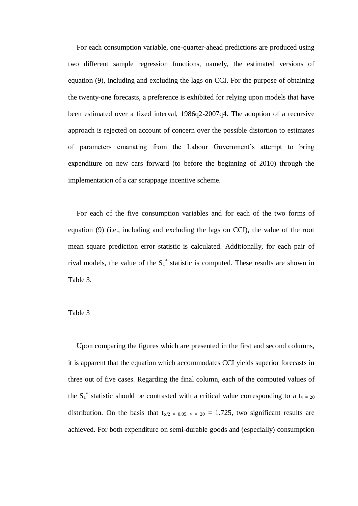For each consumption variable, one-quarter-ahead predictions are produced using two different sample regression functions, namely, the estimated versions of equation (9), including and excluding the lags on CCI. For the purpose of obtaining the twenty-one forecasts, a preference is exhibited for relying upon models that have been estimated over a fixed interval, 1986q2-2007q4. The adoption of a recursive approach is rejected on account of concern over the possible distortion to estimates of parameters emanating from the Labour Government's attempt to bring expenditure on new cars forward (to before the beginning of 2010) through the implementation of a car scrappage incentive scheme.

For each of the five consumption variables and for each of the two forms of equation (9) (i.e., including and excluding the lags on CCI), the value of the root mean square prediction error statistic is calculated. Additionally, for each pair of rival models, the value of the  $S_1^*$  statistic is computed. These results are shown in Table 3.

#### Table 3

Upon comparing the figures which are presented in the first and second columns, it is apparent that the equation which accommodates CCI yields superior forecasts in three out of five cases. Regarding the final column, each of the computed values of the S<sub>1</sub><sup>\*</sup> statistic should be contrasted with a critical value corresponding to a t<sub>v</sub> = 20 distribution. On the basis that  $t_{\alpha/2} = 0.05$ ,  $v = 20 = 1.725$ , two significant results are achieved. For both expenditure on semi-durable goods and (especially) consumption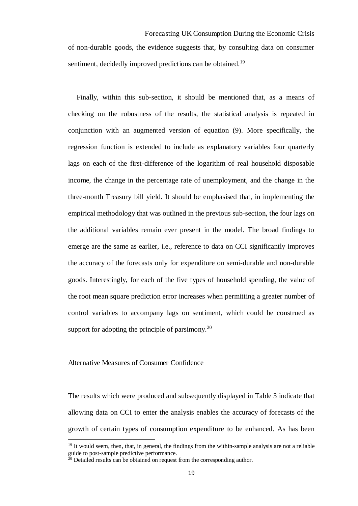Forecasting UK Consumption During the Economic Crisis of non-durable goods, the evidence suggests that, by consulting data on consumer sentiment, decidedly improved predictions can be obtained.<sup>19</sup>

Finally, within this sub-section, it should be mentioned that, as a means of checking on the robustness of the results, the statistical analysis is repeated in conjunction with an augmented version of equation (9). More specifically, the regression function is extended to include as explanatory variables four quarterly lags on each of the first-difference of the logarithm of real household disposable income, the change in the percentage rate of unemployment, and the change in the three-month Treasury bill yield. It should be emphasised that, in implementing the empirical methodology that was outlined in the previous sub-section, the four lags on the additional variables remain ever present in the model. The broad findings to emerge are the same as earlier, i.e., reference to data on CCI significantly improves the accuracy of the forecasts only for expenditure on semi-durable and non-durable goods. Interestingly, for each of the five types of household spending, the value of the root mean square prediction error increases when permitting a greater number of control variables to accompany lags on sentiment, which could be construed as support for adopting the principle of parsimony. $^{20}$ 

#### Alternative Measures of Consumer Confidence

l,

The results which were produced and subsequently displayed in Table 3 indicate that allowing data on CCI to enter the analysis enables the accuracy of forecasts of the growth of certain types of consumption expenditure to be enhanced. As has been

<sup>&</sup>lt;sup>19</sup> It would seem, then, that, in general, the findings from the within-sample analysis are not a reliable guide to post-sample predictive performance.

 $\frac{20}{20}$  Detailed results can be obtained on request from the corresponding author.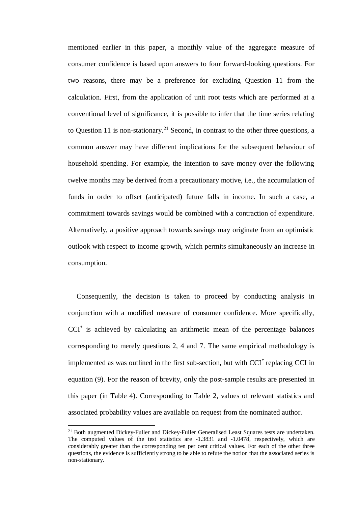mentioned earlier in this paper, a monthly value of the aggregate measure of consumer confidence is based upon answers to four forward-looking questions. For two reasons, there may be a preference for excluding Question 11 from the calculation. First, from the application of unit root tests which are performed at a conventional level of significance, it is possible to infer that the time series relating to Question 11 is non-stationary.<sup>21</sup> Second, in contrast to the other three questions, a common answer may have different implications for the subsequent behaviour of household spending. For example, the intention to save money over the following twelve months may be derived from a precautionary motive, i.e., the accumulation of funds in order to offset (anticipated) future falls in income. In such a case, a commitment towards savings would be combined with a contraction of expenditure. Alternatively, a positive approach towards savings may originate from an optimistic outlook with respect to income growth, which permits simultaneously an increase in consumption.

Consequently, the decision is taken to proceed by conducting analysis in conjunction with a modified measure of consumer confidence. More specifically, CCI\* is achieved by calculating an arithmetic mean of the percentage balances corresponding to merely questions 2, 4 and 7. The same empirical methodology is implemented as was outlined in the first sub-section, but with CCI<sup>\*</sup> replacing CCI in equation (9). For the reason of brevity, only the post-sample results are presented in this paper (in Table 4). Corresponding to Table 2, values of relevant statistics and associated probability values are available on request from the nominated author.

<sup>&</sup>lt;sup>21</sup> Both augmented Dickey-Fuller and Dickey-Fuller Generalised Least Squares tests are undertaken. The computed values of the test statistics are -1.3831 and -1.0478, respectively, which are considerably greater than the corresponding ten per cent critical values. For each of the other three questions, the evidence is sufficiently strong to be able to refute the notion that the associated series is non-stationary.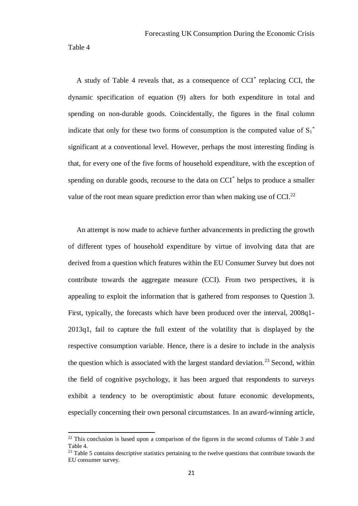Table 4

 $\overline{a}$ 

A study of Table 4 reveals that, as a consequence of CCI\* replacing CCI, the dynamic specification of equation (9) alters for both expenditure in total and spending on non-durable goods. Coincidentally, the figures in the final column indicate that only for these two forms of consumption is the computed value of  $S_1^*$ significant at a conventional level. However, perhaps the most interesting finding is that, for every one of the five forms of household expenditure, with the exception of spending on durable goods, recourse to the data on CCI<sup>\*</sup> helps to produce a smaller value of the root mean square prediction error than when making use of CCI.<sup>22</sup>

An attempt is now made to achieve further advancements in predicting the growth of different types of household expenditure by virtue of involving data that are derived from a question which features within the EU Consumer Survey but does not contribute towards the aggregate measure (CCI). From two perspectives, it is appealing to exploit the information that is gathered from responses to Question 3. First, typically, the forecasts which have been produced over the interval, 2008q1- 2013q1, fail to capture the full extent of the volatility that is displayed by the respective consumption variable. Hence, there is a desire to include in the analysis the question which is associated with the largest standard deviation.<sup>23</sup> Second, within the field of cognitive psychology, it has been argued that respondents to surveys exhibit a tendency to be overoptimistic about future economic developments, especially concerning their own personal circumstances. In an award-winning article,

 $^{22}$  This conclusion is based upon a comparison of the figures in the second columns of Table 3 and Table 4.

<sup>&</sup>lt;sup>23</sup> Table 5 contains descriptive statistics pertaining to the twelve questions that contribute towards the EU consumer survey.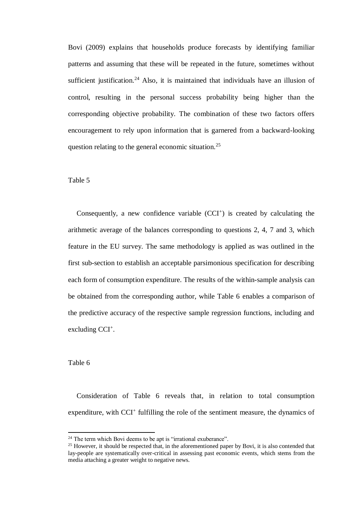Bovi (2009) explains that households produce forecasts by identifying familiar patterns and assuming that these will be repeated in the future, sometimes without sufficient justification.<sup>24</sup> Also, it is maintained that individuals have an illusion of control, resulting in the personal success probability being higher than the corresponding objective probability. The combination of these two factors offers encouragement to rely upon information that is garnered from a backward-looking question relating to the general economic situation.<sup>25</sup>

#### Table 5

Consequently, a new confidence variable  $(CCI<sup>+</sup>)$  is created by calculating the arithmetic average of the balances corresponding to questions 2, 4, 7 and 3, which feature in the EU survey. The same methodology is applied as was outlined in the first sub-section to establish an acceptable parsimonious specification for describing each form of consumption expenditure. The results of the within-sample analysis can be obtained from the corresponding author, while Table 6 enables a comparison of the predictive accuracy of the respective sample regression functions, including and excluding CCI<sup>+</sup>.

#### Table 6

 $\overline{a}$ 

Consideration of Table 6 reveals that, in relation to total consumption expenditure, with CCI<sup>+</sup> fulfilling the role of the sentiment measure, the dynamics of

<sup>&</sup>lt;sup>24</sup> The term which Bovi deems to be apt is "irrational exuberance".

<sup>&</sup>lt;sup>25</sup> However, it should be respected that, in the aforementioned paper by Bovi, it is also contended that lay-people are systematically over-critical in assessing past economic events, which stems from the media attaching a greater weight to negative news.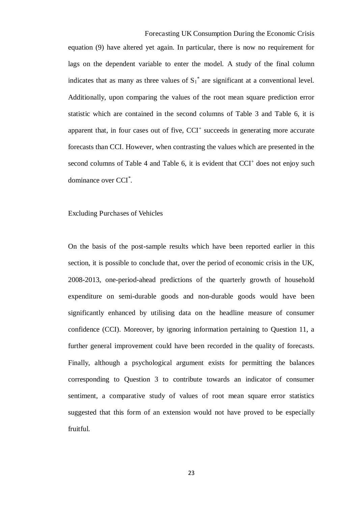Forecasting UK Consumption During the Economic Crisis equation (9) have altered yet again. In particular, there is now no requirement for lags on the dependent variable to enter the model. A study of the final column indicates that as many as three values of  $S_1^*$  are significant at a conventional level. Additionally, upon comparing the values of the root mean square prediction error statistic which are contained in the second columns of Table 3 and Table 6, it is apparent that, in four cases out of five, CCI<sup>+</sup> succeeds in generating more accurate forecasts than CCI. However, when contrasting the values which are presented in the second columns of Table 4 and Table 6, it is evident that CCI<sup>+</sup> does not enjoy such dominance over CCI\* .

#### Excluding Purchases of Vehicles

On the basis of the post-sample results which have been reported earlier in this section, it is possible to conclude that, over the period of economic crisis in the UK, 2008-2013, one-period-ahead predictions of the quarterly growth of household expenditure on semi-durable goods and non-durable goods would have been significantly enhanced by utilising data on the headline measure of consumer confidence (CCI). Moreover, by ignoring information pertaining to Question 11, a further general improvement could have been recorded in the quality of forecasts. Finally, although a psychological argument exists for permitting the balances corresponding to Question 3 to contribute towards an indicator of consumer sentiment, a comparative study of values of root mean square error statistics suggested that this form of an extension would not have proved to be especially fruitful.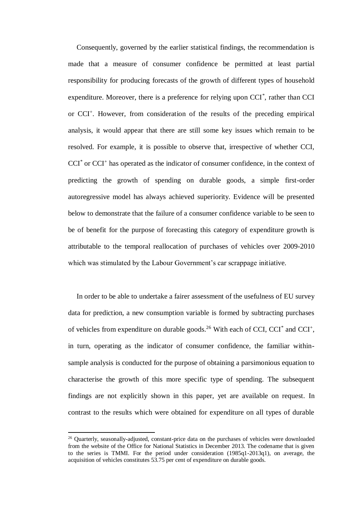Consequently, governed by the earlier statistical findings, the recommendation is made that a measure of consumer confidence be permitted at least partial responsibility for producing forecasts of the growth of different types of household expenditure. Moreover, there is a preference for relying upon CCI<sup>\*</sup>, rather than CCI or CCI<sup>+</sup>. However, from consideration of the results of the preceding empirical analysis, it would appear that there are still some key issues which remain to be resolved. For example, it is possible to observe that, irrespective of whether CCI, CCI<sup>\*</sup> or CCI<sup>+</sup> has operated as the indicator of consumer confidence, in the context of predicting the growth of spending on durable goods, a simple first-order autoregressive model has always achieved superiority. Evidence will be presented below to demonstrate that the failure of a consumer confidence variable to be seen to be of benefit for the purpose of forecasting this category of expenditure growth is attributable to the temporal reallocation of purchases of vehicles over 2009-2010 which was stimulated by the Labour Government's car scrappage initiative.

In order to be able to undertake a fairer assessment of the usefulness of EU survey data for prediction, a new consumption variable is formed by subtracting purchases of vehicles from expenditure on durable goods.<sup>26</sup> With each of CCI, CCI<sup>\*</sup> and CCI<sup>+</sup>, in turn, operating as the indicator of consumer confidence, the familiar withinsample analysis is conducted for the purpose of obtaining a parsimonious equation to characterise the growth of this more specific type of spending. The subsequent findings are not explicitly shown in this paper, yet are available on request. In contrast to the results which were obtained for expenditure on all types of durable

<sup>&</sup>lt;sup>26</sup> Quarterly, seasonally-adjusted, constant-price data on the purchases of vehicles were downloaded from the website of the Office for National Statistics in December 2013. The codename that is given to the series is TMMI. For the period under consideration (1985q1-2013q1), on average, the acquisition of vehicles constitutes 53.75 per cent of expenditure on durable goods.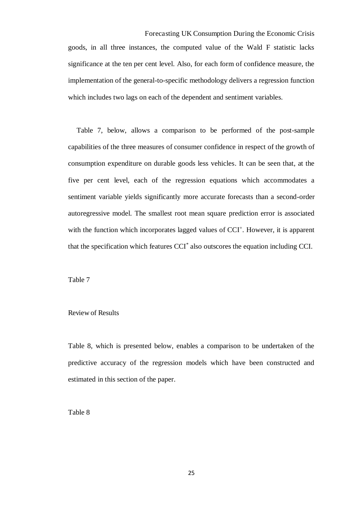Forecasting UK Consumption During the Economic Crisis goods, in all three instances, the computed value of the Wald F statistic lacks significance at the ten per cent level. Also, for each form of confidence measure, the implementation of the general-to-specific methodology delivers a regression function which includes two lags on each of the dependent and sentiment variables.

Table 7, below, allows a comparison to be performed of the post-sample capabilities of the three measures of consumer confidence in respect of the growth of consumption expenditure on durable goods less vehicles. It can be seen that, at the five per cent level, each of the regression equations which accommodates a sentiment variable yields significantly more accurate forecasts than a second-order autoregressive model. The smallest root mean square prediction error is associated with the function which incorporates lagged values of CCI<sup>+</sup>. However, it is apparent that the specification which features CCI<sup>\*</sup> also outscores the equation including CCI.

Table 7

#### Review of Results

Table 8, which is presented below, enables a comparison to be undertaken of the predictive accuracy of the regression models which have been constructed and estimated in this section of the paper.

Table 8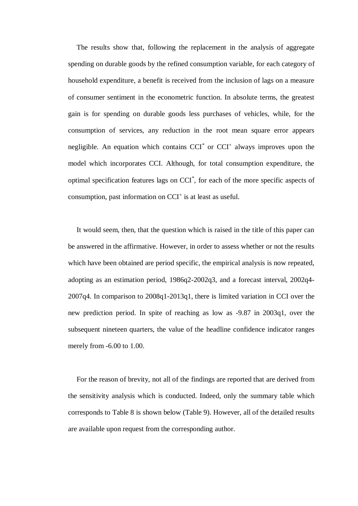The results show that, following the replacement in the analysis of aggregate spending on durable goods by the refined consumption variable, for each category of household expenditure, a benefit is received from the inclusion of lags on a measure of consumer sentiment in the econometric function. In absolute terms, the greatest gain is for spending on durable goods less purchases of vehicles, while, for the consumption of services, any reduction in the root mean square error appears negligible. An equation which contains  $CCI<sup>*</sup>$  or  $CCI<sup>+</sup>$  always improves upon the model which incorporates CCI. Although, for total consumption expenditure, the optimal specification features lags on CCI\* , for each of the more specific aspects of consumption, past information on CCI<sup>+</sup> is at least as useful.

It would seem, then, that the question which is raised in the title of this paper can be answered in the affirmative. However, in order to assess whether or not the results which have been obtained are period specific, the empirical analysis is now repeated, adopting as an estimation period, 1986q2-2002q3, and a forecast interval, 2002q4- 2007q4. In comparison to 2008q1-2013q1, there is limited variation in CCI over the new prediction period. In spite of reaching as low as -9.87 in 2003q1, over the subsequent nineteen quarters, the value of the headline confidence indicator ranges merely from -6.00 to 1.00.

For the reason of brevity, not all of the findings are reported that are derived from the sensitivity analysis which is conducted. Indeed, only the summary table which corresponds to Table 8 is shown below (Table 9). However, all of the detailed results are available upon request from the corresponding author.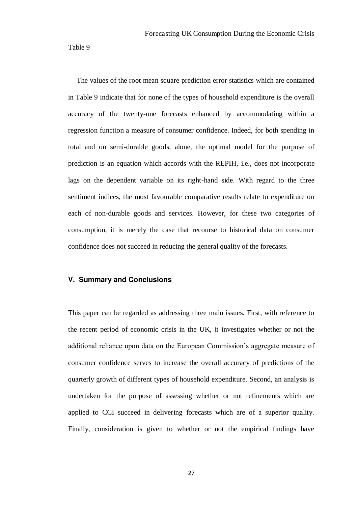Table 9

The values of the root mean square prediction error statistics which are contained in Table 9 indicate that for none of the types of household expenditure is the overall accuracy of the twenty-one forecasts enhanced by accommodating within a regression function a measure of consumer confidence. Indeed, for both spending in total and on semi-durable goods, alone, the optimal model for the purpose of prediction is an equation which accords with the REPIH, i.e., does not incorporate lags on the dependent variable on its right-hand side. With regard to the three sentiment indices, the most favourable comparative results relate to expenditure on each of non-durable goods and services. However, for these two categories of consumption, it is merely the case that recourse to historical data on consumer confidence does not succeed in reducing the general quality of the forecasts.

#### **V. Summary and Conclusions**

This paper can be regarded as addressing three main issues. First, with reference to the recent period of economic crisis in the UK, it investigates whether or not the additional reliance upon data on the European Commission's aggregate measure of consumer confidence serves to increase the overall accuracy of predictions of the quarterly growth of different types of household expenditure. Second, an analysis is undertaken for the purpose of assessing whether or not refinements which are applied to CCI succeed in delivering forecasts which are of a superior quality. Finally, consideration is given to whether or not the empirical findings have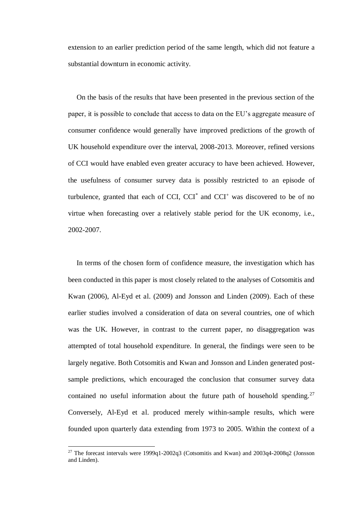extension to an earlier prediction period of the same length, which did not feature a substantial downturn in economic activity.

On the basis of the results that have been presented in the previous section of the paper, it is possible to conclude that access to data on the EU's aggregate measure of consumer confidence would generally have improved predictions of the growth of UK household expenditure over the interval, 2008-2013. Moreover, refined versions of CCI would have enabled even greater accuracy to have been achieved. However, the usefulness of consumer survey data is possibly restricted to an episode of turbulence, granted that each of CCI, CCI $^*$  and CCI $^+$  was discovered to be of no virtue when forecasting over a relatively stable period for the UK economy, i.e., 2002-2007.

In terms of the chosen form of confidence measure, the investigation which has been conducted in this paper is most closely related to the analyses of Cotsomitis and Kwan (2006), Al-Eyd et al. (2009) and Jonsson and Linden (2009). Each of these earlier studies involved a consideration of data on several countries, one of which was the UK. However, in contrast to the current paper, no disaggregation was attempted of total household expenditure. In general, the findings were seen to be largely negative. Both Cotsomitis and Kwan and Jonsson and Linden generated postsample predictions, which encouraged the conclusion that consumer survey data contained no useful information about the future path of household spending.<sup>27</sup> Conversely, Al-Eyd et al. produced merely within-sample results, which were founded upon quarterly data extending from 1973 to 2005. Within the context of a

<sup>&</sup>lt;sup>27</sup> The forecast intervals were 1999q1-2002q3 (Cotsomitis and Kwan) and 2003q4-2008q2 (Jonsson and Linden).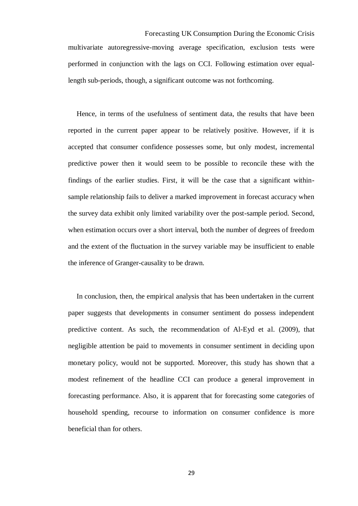Forecasting UK Consumption During the Economic Crisis multivariate autoregressive-moving average specification, exclusion tests were performed in conjunction with the lags on CCI. Following estimation over equallength sub-periods, though, a significant outcome was not forthcoming.

Hence, in terms of the usefulness of sentiment data, the results that have been reported in the current paper appear to be relatively positive. However, if it is accepted that consumer confidence possesses some, but only modest, incremental predictive power then it would seem to be possible to reconcile these with the findings of the earlier studies. First, it will be the case that a significant withinsample relationship fails to deliver a marked improvement in forecast accuracy when the survey data exhibit only limited variability over the post-sample period. Second, when estimation occurs over a short interval, both the number of degrees of freedom and the extent of the fluctuation in the survey variable may be insufficient to enable the inference of Granger-causality to be drawn.

In conclusion, then, the empirical analysis that has been undertaken in the current paper suggests that developments in consumer sentiment do possess independent predictive content. As such, the recommendation of Al-Eyd et al. (2009), that negligible attention be paid to movements in consumer sentiment in deciding upon monetary policy, would not be supported. Moreover, this study has shown that a modest refinement of the headline CCI can produce a general improvement in forecasting performance. Also, it is apparent that for forecasting some categories of household spending, recourse to information on consumer confidence is more beneficial than for others.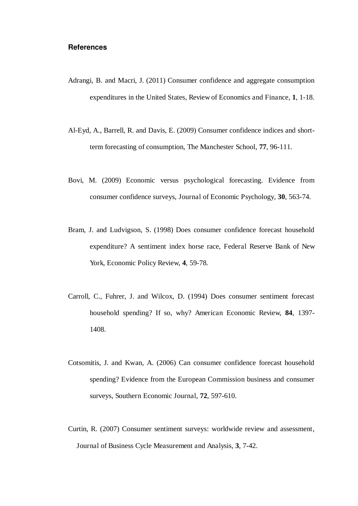#### **References**

- Adrangi, B. and Macri, J. (2011) Consumer confidence and aggregate consumption expenditures in the United States, Review of Economics and Finance, **1**, 1-18.
- Al-Eyd, A., Barrell, R. and Davis, E. (2009) Consumer confidence indices and shortterm forecasting of consumption, The Manchester School, **77**, 96-111.
- Bovi, M. (2009) Economic versus psychological forecasting. Evidence from consumer confidence surveys, Journal of Economic Psychology, **30**, 563-74.
- Bram, J. and Ludvigson, S. (1998) Does consumer confidence forecast household expenditure? A sentiment index horse race, Federal Reserve Bank of New York, Economic Policy Review, **4**, 59-78.
- Carroll, C., Fuhrer, J. and Wilcox, D. (1994) Does consumer sentiment forecast household spending? If so, why? American Economic Review, **84**, 1397- 1408.
- Cotsomitis, J. and Kwan, A. (2006) Can consumer confidence forecast household spending? Evidence from the European Commission business and consumer surveys, Southern Economic Journal, **72**, 597-610.
- Curtin, R. (2007) Consumer sentiment surveys: worldwide review and assessment, Journal of Business Cycle Measurement and Analysis, **3**, 7-42.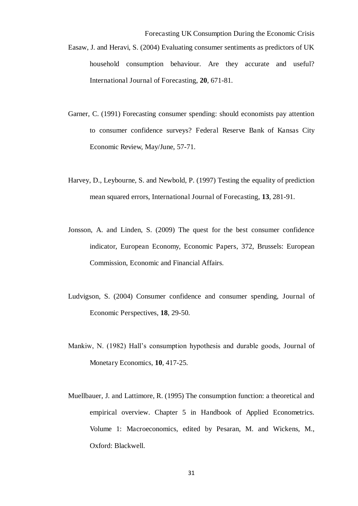- Forecasting UK Consumption During the Economic Crisis Easaw, J. and Heravi, S. (2004) Evaluating consumer sentiments as predictors of UK household consumption behaviour. Are they accurate and useful? International Journal of Forecasting, **20**, 671-81.
- Garner, C. (1991) Forecasting consumer spending: should economists pay attention to consumer confidence surveys? Federal Reserve Bank of Kansas City Economic Review, May/June, 57-71.
- Harvey, D., Leybourne, S. and Newbold, P. (1997) Testing the equality of prediction mean squared errors, International Journal of Forecasting, **13**, 281-91.
- Jonsson, A. and Linden, S. (2009) The quest for the best consumer confidence indicator, European Economy, Economic Papers, 372, Brussels: European Commission, Economic and Financial Affairs.
- Ludvigson, S. (2004) Consumer confidence and consumer spending, Journal of Economic Perspectives, **18**, 29-50.
- Mankiw, N. (1982) Hall's consumption hypothesis and durable goods, Journal of Monetary Economics, **10**, 417-25.
- Muellbauer, J. and Lattimore, R. (1995) The consumption function: a theoretical and empirical overview. Chapter 5 in Handbook of Applied Econometrics. Volume 1: Macroeconomics, edited by Pesaran, M. and Wickens, M., Oxford: Blackwell.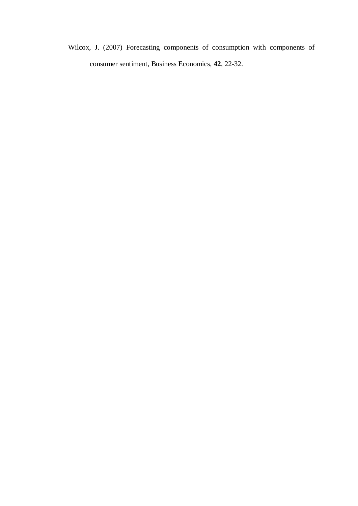Wilcox, J. (2007) Forecasting components of consumption with components of consumer sentiment, Business Economics, **42**, 22-32.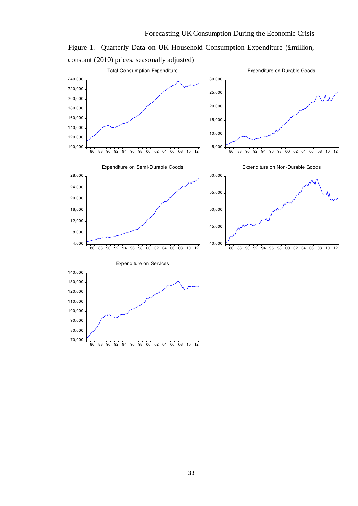

Figure 1. Quarterly Data on UK Household Consumption Expenditure (£million, constant (2010) prices, seasonally adjusted)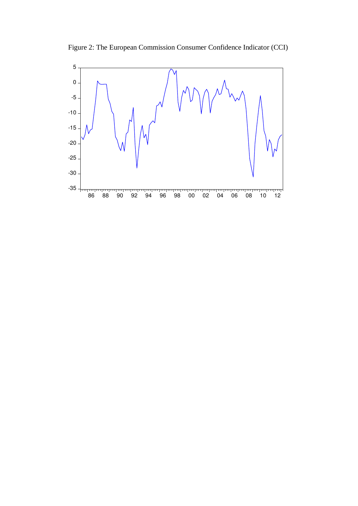Figure 2: The European Commission Consumer Confidence Indicator (CCI)

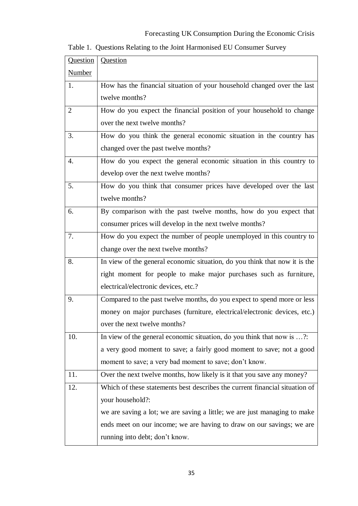# Forecasting UK Consumption During the Economic Crisis

|  |  | Table 1. Questions Relating to the Joint Harmonised EU Consumer Survey |  |  |
|--|--|------------------------------------------------------------------------|--|--|
|  |  |                                                                        |  |  |

| Question      | Question                                                                    |
|---------------|-----------------------------------------------------------------------------|
| <b>Number</b> |                                                                             |
| 1.            | How has the financial situation of your household changed over the last     |
|               | twelve months?                                                              |
| 2             | How do you expect the financial position of your household to change        |
|               | over the next twelve months?                                                |
| 3.            | How do you think the general economic situation in the country has          |
|               | changed over the past twelve months?                                        |
| 4.            | How do you expect the general economic situation in this country to         |
|               | develop over the next twelve months?                                        |
| 5.            | How do you think that consumer prices have developed over the last          |
|               | twelve months?                                                              |
| 6.            | By comparison with the past twelve months, how do you expect that           |
|               | consumer prices will develop in the next twelve months?                     |
| 7.            | How do you expect the number of people unemployed in this country to        |
|               | change over the next twelve months?                                         |
| 8.            | In view of the general economic situation, do you think that now it is the  |
|               | right moment for people to make major purchases such as furniture,          |
|               | electrical/electronic devices, etc.?                                        |
| 9.            | Compared to the past twelve months, do you expect to spend more or less     |
|               | money on major purchases (furniture, electrical/electronic devices, etc.)   |
|               | over the next twelve months?                                                |
| 10.           | In view of the general economic situation, do you think that now is ?:      |
|               | a very good moment to save; a fairly good moment to save; not a good        |
|               | moment to save; a very bad moment to save; don't know.                      |
| 11.           | Over the next twelve months, how likely is it that you save any money?      |
| 12.           | Which of these statements best describes the current financial situation of |
|               | your household?:                                                            |
|               | we are saving a lot; we are saving a little; we are just managing to make   |
|               | ends meet on our income; we are having to draw on our savings; we are       |
|               | running into debt; don't know.                                              |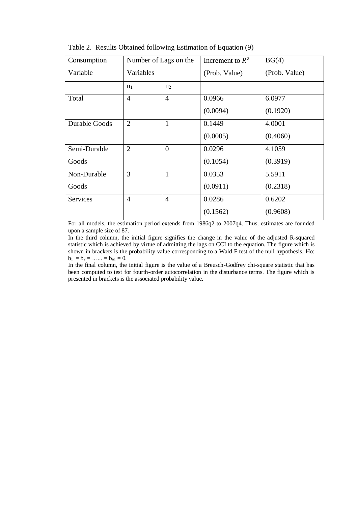| Consumption     | Number of Lags on the |                | Increment to $\bar{R}^2$ | BG(4)         |
|-----------------|-----------------------|----------------|--------------------------|---------------|
| Variable        | Variables             |                | (Prob. Value)            | (Prob. Value) |
|                 | n <sub>1</sub>        | n <sub>2</sub> |                          |               |
| Total           | $\overline{4}$        | $\overline{4}$ | 0.0966                   | 6.0977        |
|                 |                       |                | (0.0094)                 | (0.1920)      |
| Durable Goods   | $\overline{2}$        | 1              | 0.1449                   | 4.0001        |
|                 |                       |                | (0.0005)                 | (0.4060)      |
| Semi-Durable    | $\overline{2}$        | $\theta$       | 0.0296                   | 4.1059        |
| Goods           |                       |                | (0.1054)                 | (0.3919)      |
| Non-Durable     | 3                     | $\mathbf{1}$   | 0.0353                   | 5.5911        |
| Goods           |                       |                | (0.0911)                 | (0.2318)      |
| <b>Services</b> | $\overline{4}$        | $\overline{4}$ | 0.0286                   | 0.6202        |
|                 |                       |                | (0.1562)                 | (0.9608)      |

Table 2. Results Obtained following Estimation of Equation (9)

For all models, the estimation period extends from 1986q2 to 2007q4. Thus, estimates are founded upon a sample size of 87.

In the third column, the initial figure signifies the change in the value of the adjusted R-squared statistic which is achieved by virtue of admitting the lags on CCI to the equation. The figure which is shown in brackets is the probability value corresponding to a Wald F test of the null hypothesis, Ho:  $b_1 = b_2 = \ldots = b_{n1} = 0.$ 

In the final column, the initial figure is the value of a Breusch-Godfrey chi-square statistic that has been computed to test for fourth-order autocorrelation in the disturbance terms. The figure which is presented in brackets is the associated probability value.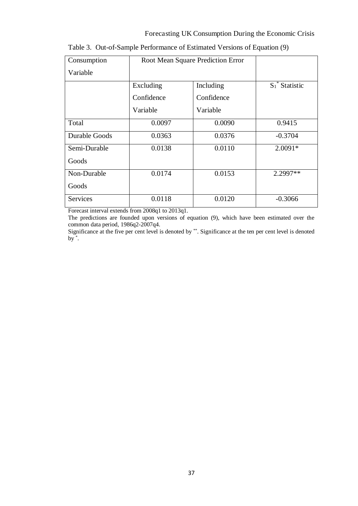#### Forecasting UK Consumption During the Economic Crisis

| Consumption     |            | Root Mean Square Prediction Error |                   |
|-----------------|------------|-----------------------------------|-------------------|
| Variable        |            |                                   |                   |
|                 | Excluding  | Including                         | $S_1^*$ Statistic |
|                 | Confidence | Confidence                        |                   |
|                 | Variable   | Variable                          |                   |
| Total           | 0.0097     | 0.0090                            | 0.9415            |
| Durable Goods   | 0.0363     | 0.0376                            | $-0.3704$         |
| Semi-Durable    | 0.0138     | 0.0110                            | $2.0091*$         |
| Goods           |            |                                   |                   |
| Non-Durable     | 0.0174     | 0.0153                            | 2.2997**          |
| Goods           |            |                                   |                   |
| <b>Services</b> | 0.0118     | 0.0120                            | $-0.3066$         |

|  |  |  |  |  | Table 3. Out-of-Sample Performance of Estimated Versions of Equation (9) |
|--|--|--|--|--|--------------------------------------------------------------------------|
|--|--|--|--|--|--------------------------------------------------------------------------|

Forecast interval extends from 2008q1 to 2013q1.

The predictions are founded upon versions of equation (9), which have been estimated over the common data period, 1986q2-2007q4.

Significance at the five per cent level is denoted by \*\*. Significance at the ten per cent level is denoted by \* .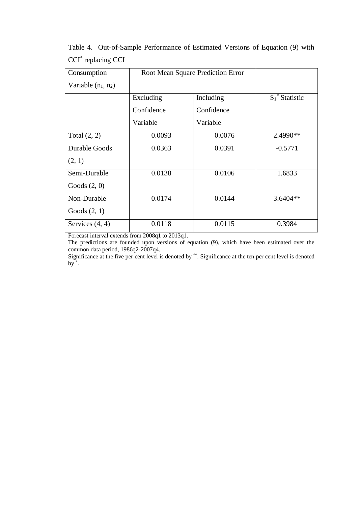| Consumption           |            | Root Mean Square Prediction Error |                   |
|-----------------------|------------|-----------------------------------|-------------------|
| Variable $(n_1, n_2)$ |            |                                   |                   |
|                       | Excluding  | Including                         | $S_1^*$ Statistic |
|                       | Confidence | Confidence                        |                   |
|                       | Variable   | Variable                          |                   |
| Total $(2, 2)$        | 0.0093     | 0.0076                            | 2.4990**          |
| Durable Goods         | 0.0363     | 0.0391                            | $-0.5771$         |
| (2, 1)                |            |                                   |                   |
| Semi-Durable          | 0.0138     | 0.0106                            | 1.6833            |
| Goods $(2, 0)$        |            |                                   |                   |
| Non-Durable           | 0.0174     | 0.0144                            | $3.6404**$        |
| Goods $(2, 1)$        |            |                                   |                   |
| Services $(4, 4)$     | 0.0118     | 0.0115                            | 0.3984            |

Table 4. Out-of-Sample Performance of Estimated Versions of Equation (9) with CCI\* replacing CCI

Forecast interval extends from 2008q1 to 2013q1.

The predictions are founded upon versions of equation (9), which have been estimated over the common data period, 1986q2-2007q4.

Significance at the five per cent level is denoted by \*\*. Significance at the ten per cent level is denoted by  $\overline{\ }$ .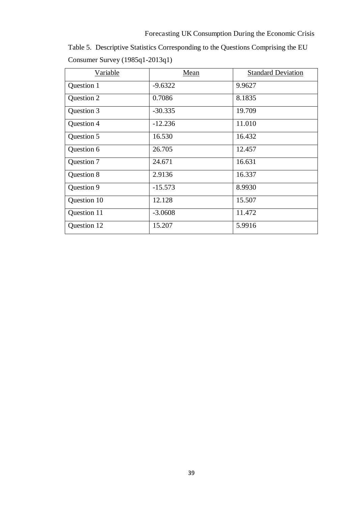Table 5. Descriptive Statistics Corresponding to the Questions Comprising the EU Consumer Survey (1985q1-2013q1)

| Variable    | Mean      | <b>Standard Deviation</b> |
|-------------|-----------|---------------------------|
| Question 1  | $-9.6322$ | 9.9627                    |
| Question 2  | 0.7086    | 8.1835                    |
| Question 3  | $-30.335$ | 19.709                    |
| Question 4  | $-12.236$ | 11.010                    |
| Question 5  | 16.530    | 16.432                    |
| Question 6  | 26.705    | 12.457                    |
| Question 7  | 24.671    | 16.631                    |
| Question 8  | 2.9136    | 16.337                    |
| Question 9  | $-15.573$ | 8.9930                    |
| Question 10 | 12.128    | 15.507                    |
| Question 11 | $-3.0608$ | 11.472                    |
| Question 12 | 15.207    | 5.9916                    |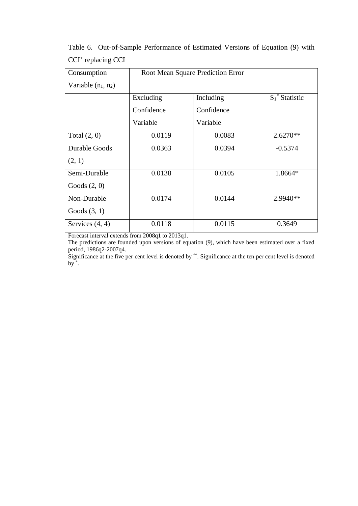| Consumption           |            | Root Mean Square Prediction Error |                   |
|-----------------------|------------|-----------------------------------|-------------------|
| Variable $(n_1, n_2)$ |            |                                   |                   |
|                       | Excluding  | Including                         | $S_1^*$ Statistic |
|                       | Confidence | Confidence                        |                   |
|                       | Variable   | Variable                          |                   |
| Total $(2, 0)$        | 0.0119     | 0.0083                            | $2.6270**$        |
| Durable Goods         | 0.0363     | 0.0394                            | $-0.5374$         |
| (2, 1)                |            |                                   |                   |
| Semi-Durable          | 0.0138     | 0.0105                            | 1.8664*           |
| Goods $(2, 0)$        |            |                                   |                   |
| Non-Durable           | 0.0174     | 0.0144                            | $2.9940**$        |
| Goods $(3, 1)$        |            |                                   |                   |
| Services $(4, 4)$     | 0.0118     | 0.0115                            | 0.3649            |

Table 6. Out-of-Sample Performance of Estimated Versions of Equation (9) with CCI<sup>+</sup> replacing CCI

Forecast interval extends from 2008q1 to 2013q1.

The predictions are founded upon versions of equation (9), which have been estimated over a fixed period, 1986q2-2007q4.

Significance at the five per cent level is denoted by \*\*. Significance at the ten per cent level is denoted by  $\overline{\ }$ .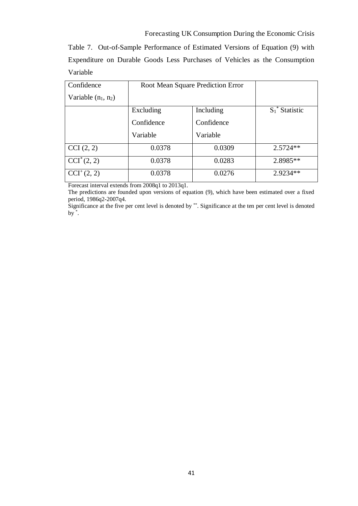Table 7. Out-of-Sample Performance of Estimated Versions of Equation (9) with Expenditure on Durable Goods Less Purchases of Vehicles as the Consumption Variable

| Confidence               | Root Mean Square Prediction Error |            |                   |
|--------------------------|-----------------------------------|------------|-------------------|
| Variable $(n_1, n_2)$    |                                   |            |                   |
|                          | Excluding                         | Including  | $S_1^*$ Statistic |
|                          | Confidence                        | Confidence |                   |
|                          | Variable                          | Variable   |                   |
| CCI(2, 2)                | 0.0378                            | 0.0309     | $2.5724**$        |
| $\overline{CCI}^*(2, 2)$ | 0.0378                            | 0.0283     | 2.8985**          |
| $CCI^+(2, 2)$            | 0.0378                            | 0.0276     | 2.9234**          |

Forecast interval extends from 2008q1 to 2013q1.

Significance at the five per cent level is denoted by \*\*. Significance at the ten per cent level is denoted by \* .

The predictions are founded upon versions of equation (9), which have been estimated over a fixed period, 1986q2-2007q4.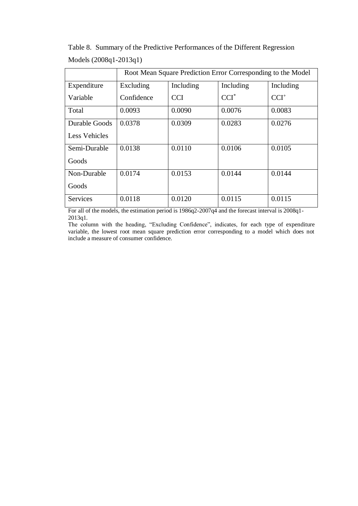|                      | Root Mean Square Prediction Error Corresponding to the Model |            |           |           |  |  |
|----------------------|--------------------------------------------------------------|------------|-----------|-----------|--|--|
| Expenditure          | Excluding                                                    | Including  | Including | Including |  |  |
| Variable             | Confidence                                                   | <b>CCI</b> | $CCI^*$   | $CCI+$    |  |  |
| Total                | 0.0093                                                       | 0.0090     | 0.0076    | 0.0083    |  |  |
| Durable Goods        | 0.0378                                                       | 0.0309     | 0.0283    | 0.0276    |  |  |
| <b>Less Vehicles</b> |                                                              |            |           |           |  |  |
| Semi-Durable         | 0.0138                                                       | 0.0110     | 0.0106    | 0.0105    |  |  |
| Goods                |                                                              |            |           |           |  |  |
| Non-Durable          | 0.0174                                                       | 0.0153     | 0.0144    | 0.0144    |  |  |
| Goods                |                                                              |            |           |           |  |  |
| <b>Services</b>      | 0.0118                                                       | 0.0120     | 0.0115    | 0.0115    |  |  |

Table 8. Summary of the Predictive Performances of the Different Regression Models (2008q1-2013q1)

For all of the models, the estimation period is 1986q2-2007q4 and the forecast interval is 2008q1-2013q1.

The column with the heading, "Excluding Confidence", indicates, for each type of expenditure variable, the lowest root mean square prediction error corresponding to a model which does not include a measure of consumer confidence.